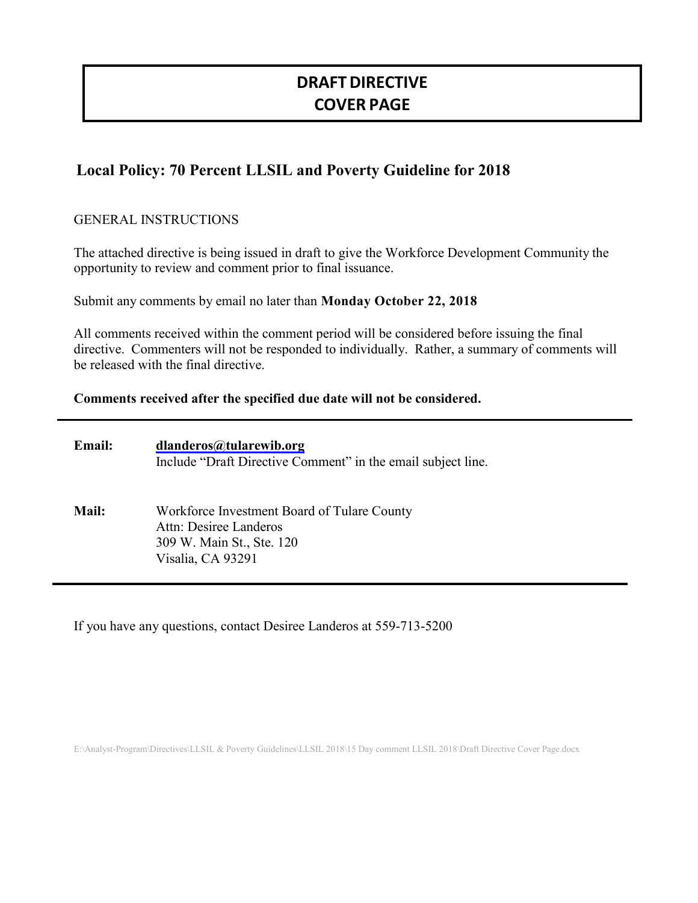# **DRAFTDIRECTIVE COVER PAGE**

# **Local Policy: 70 Percent LLSIL and Poverty Guideline for 2018**

## GENERAL INSTRUCTIONS

The attached directive is being issued in draft to give the Workforce Development Community the opportunity to review and comment prior to final issuance.

Submit any comments by email no later than **Monday October 22, 2018**

All comments received within the comment period will be considered before issuing the final directive. Commenters will not be responded to individually. Rather, a summary of comments will be released with the final directive.

### **Comments received after the specified due date will not be considered.**

| <b>Email:</b> | dlanderos@tularewib.org<br>Include "Draft Directive Comment" in the email subject line.                                 |
|---------------|-------------------------------------------------------------------------------------------------------------------------|
| Mail:         | Workforce Investment Board of Tulare County<br>Attn: Desiree Landeros<br>309 W. Main St., Ste. 120<br>Visalia, CA 93291 |

If you have any questions, contact Desiree Landeros at 559-713-5200

E:\Analyst-Program\Directives\LLSIL & Poverty Guidelines\LLSIL 2018\15 Day comment LLSIL 2018\Draft Directive Cover Page.docx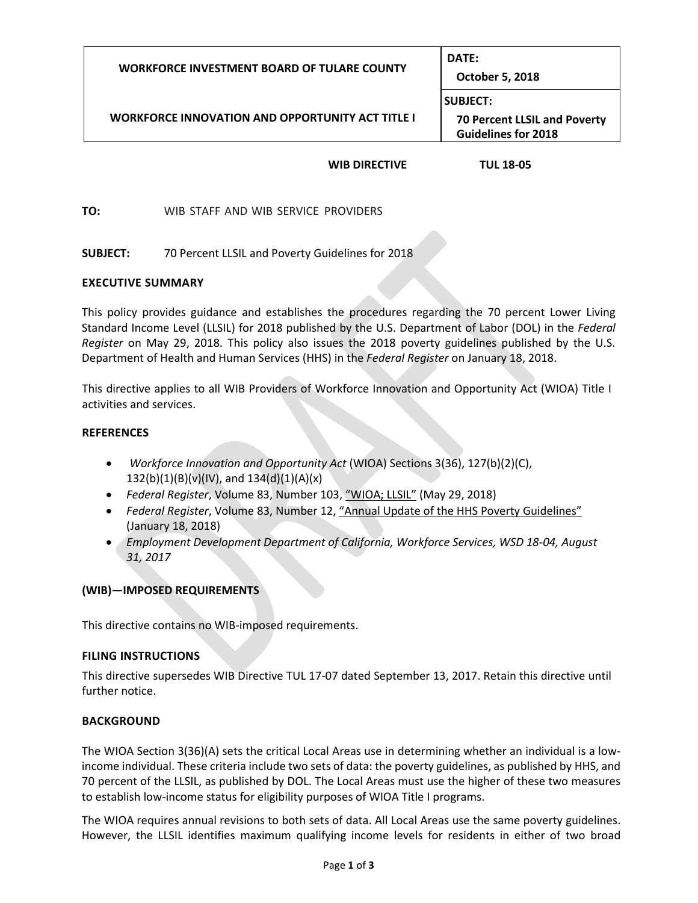| <b>WORKFORCE INVESTMENT BOARD OF TULARE COUNTY</b>      | DATE:<br><b>October 5, 2018</b>                                                      |  |
|---------------------------------------------------------|--------------------------------------------------------------------------------------|--|
| <b>WORKFORCE INNOVATION AND OPPORTUNITY ACT TITLE I</b> | <b>SUBJECT:</b><br><b>70 Percent LLSIL and Poverty</b><br><b>Guidelines for 2018</b> |  |

#### **WIB DIRECTIVE TUL 18-05**

**TO:** WIB STAFF AND WIB SERVICE PROVIDERS

**SUBJECT:** 70 Percent LLSIL and Poverty Guidelines for 2018

#### **EXECUTIVE SUMMARY**

This policy provides guidance and establishes the procedures regarding the 70 percent Lower Living Standard Income Level (LLSIL) for 2018 published by the U.S. Department of Labor (DOL) in the *Federal Register* on May 29, 2018. This policy also issues the 2018 poverty guidelines published by the U.S. Department of Health and Human Services (HHS) in the *Federal Register* on January 18, 2018.

This directive applies to all WIB Providers of Workforce Innovation and Opportunity Act (WIOA) Title I activities and services.

#### **REFERENCES**

- *Workforce Innovation and Opportunity Act* (WIOA) Sections 3(36), 127(b)(2)(C),  $132(b)(1)(B)(v)(IV)$ , and  $134(d)(1)(A)(x)$
- *Federal Register*, Volume 83, Number 103, "WIOA; LLSIL" (May 29, 2018)
- *Federal Register*, Volume 83, Number 12, "Annual Update of the HHS Poverty Guidelines" (January 18, 2018)
- *Employment Development Department of California, Workforce Services, WSD 18-04, August 31, 2017*

#### **(WIB)—IMPOSED REQUIREMENTS**

This directive contains no WIB-imposed requirements.

#### **FILING INSTRUCTIONS**

This directive supersedes WIB Directive TUL 17-07 dated September 13, 2017. Retain this directive until further notice.

#### **BACKGROUND**

The WIOA Section 3(36)(A) sets the critical Local Areas use in determining whether an individual is a lowincome individual. These criteria include two sets of data: the poverty guidelines, as published by HHS, and 70 percent of the LLSIL, as published by DOL. The Local Areas must use the higher of these two measures to establish low-income status for eligibility purposes of WIOA Title I programs.

The WIOA requires annual revisions to both sets of data. All Local Areas use the same poverty guidelines. However, the LLSIL identifies maximum qualifying income levels for residents in either of two broad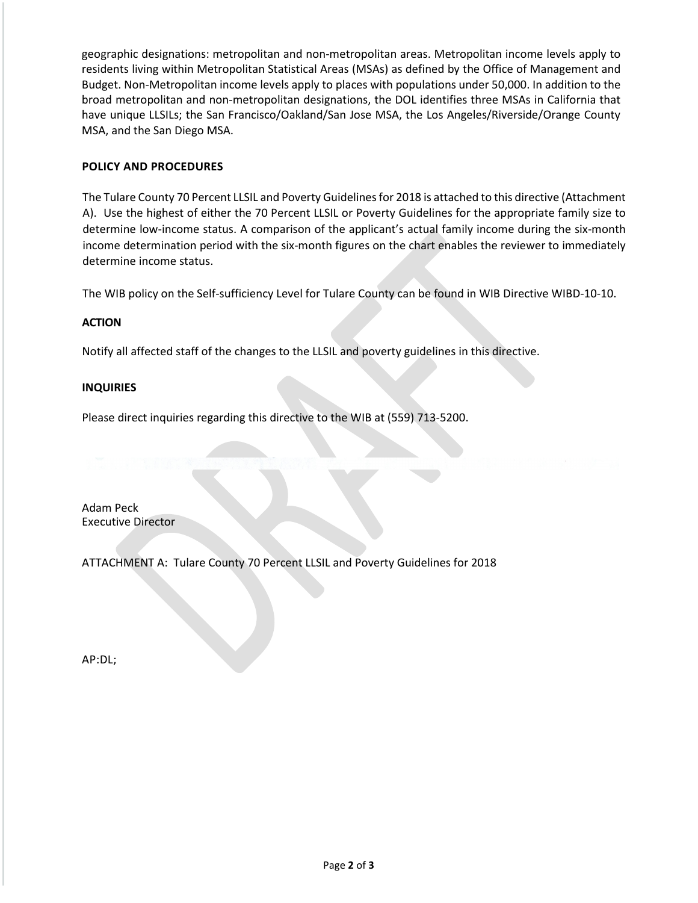geographic designations: metropolitan and non-metropolitan areas. Metropolitan income levels apply to residents living within Metropolitan Statistical Areas (MSAs) as defined by the Office of Management and Budget. Non-Metropolitan income levels apply to places with populations under 50,000. In addition to the broad metropolitan and non-metropolitan designations, the DOL identifies three MSAs in California that have unique LLSILs; the San Francisco/Oakland/San Jose MSA, the Los Angeles/Riverside/Orange County MSA, and the San Diego MSA.

#### **POLICY AND PROCEDURES**

The Tulare County 70 Percent LLSIL and Poverty Guidelines for 2018 is attached to this directive (Attachment A). Use the highest of either the 70 Percent LLSIL or Poverty Guidelines for the appropriate family size to determine low-income status. A comparison of the applicant's actual family income during the six-month income determination period with the six-month figures on the chart enables the reviewer to immediately determine income status.

The WIB policy on the Self-sufficiency Level for Tulare County can be found in WIB Directive WIBD-10-10.

#### **ACTION**

Notify all affected staff of the changes to the LLSIL and poverty guidelines in this directive.

#### **INQUIRIES**

Please direct inquiries regarding this directive to the WIB at (559) 713-5200.

Adam Peck Executive Director

ATTACHMENT A: Tulare County 70 Percent LLSIL and Poverty Guidelines for 2018

AP:DL;